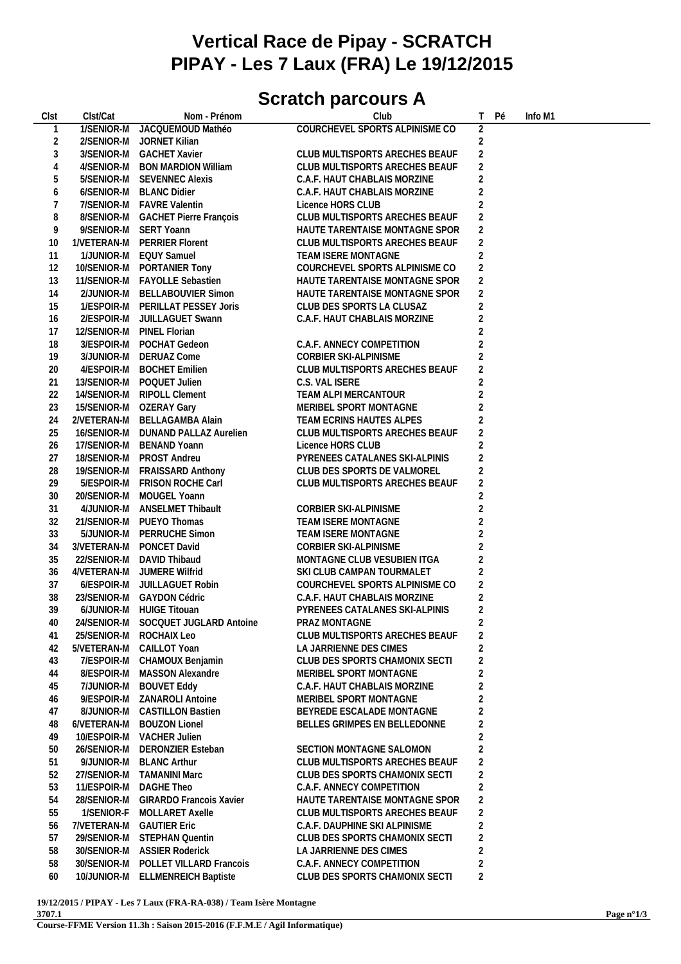## **Vertical Race de Pipay - SCRATCH PIPAY - Les 7 Laux (FRA) Le 19/12/2015**

## **Scratch parcours A**

| Clst             | Clst/Cat    | Nom - Prénom                        | Club                           | T.             | Pé | Info M1 |  |
|------------------|-------------|-------------------------------------|--------------------------------|----------------|----|---------|--|
| $\mathbf{1}$     |             | 1/SENIOR-M JACQUEMOUD Mathéo        | COURCHEVEL SPORTS ALPINISME CO | $\overline{2}$ |    |         |  |
| $\overline{2}$   |             | 2/SENIOR-M JORNET Kilian            |                                | $\overline{2}$ |    |         |  |
| $\sqrt{3}$       |             | 3/SENIOR-M GACHET Xavier            | CLUB MULTISPORTS ARECHES BEAUF | $\overline{2}$ |    |         |  |
| $\overline{4}$   | 4/SENIOR-M  | <b>BON MARDION William</b>          | CLUB MULTISPORTS ARECHES BEAUF | $\overline{2}$ |    |         |  |
|                  |             |                                     |                                | $\overline{2}$ |    |         |  |
| 5                | 5/SENIOR-M  | <b>SEVENNEC Alexis</b>              | C.A.F. HAUT CHABLAIS MORZINE   |                |    |         |  |
| $\boldsymbol{6}$ | 6/SENIOR-M  | <b>BLANC Didier</b>                 | C.A.F. HAUT CHABLAIS MORZINE   | $\overline{2}$ |    |         |  |
| 7                | 7/SENIOR-M  | <b>FAVRE Valentin</b>               | Licence HORS CLUB              | $\overline{2}$ |    |         |  |
| 8                |             | 8/SENIOR-M GACHET Pierre François   | CLUB MULTISPORTS ARECHES BEAUF | $\overline{2}$ |    |         |  |
| 9                |             | 9/SENIOR-M SERT Yoann               | HAUTE TARENTAISE MONTAGNE SPOR | $\overline{2}$ |    |         |  |
| 10               |             | 1/VETERAN-M PERRIER Florent         | CLUB MULTISPORTS ARECHES BEAUF | $\overline{2}$ |    |         |  |
| 11               | 1/JUNIOR-M  | <b>EQUY Samuel</b>                  | TEAM ISERE MONTAGNE            | $\overline{2}$ |    |         |  |
| 12               | 10/SENIOR-M | PORTANIER Tony                      | COURCHEVEL SPORTS ALPINISME CO | $\overline{2}$ |    |         |  |
| 13               | 11/SENIOR-M | <b>FAYOLLE Sebastien</b>            | HAUTE TARENTAISE MONTAGNE SPOR | $\overline{2}$ |    |         |  |
| 14               | 2/JUNIOR-M  | <b>BELLABOUVIER Simon</b>           | HAUTE TARENTAISE MONTAGNE SPOR | $\overline{2}$ |    |         |  |
| 15               |             | 1/ESPOIR-M PERILLAT PESSEY Joris    | CLUB DES SPORTS LA CLUSAZ      | $\overline{2}$ |    |         |  |
| 16               |             | 2/ESPOIR-M JUILLAGUET Swann         | C.A.F. HAUT CHABLAIS MORZINE   | $\overline{2}$ |    |         |  |
| 17               | 12/SENIOR-M | PINEL Florian                       |                                | $\overline{2}$ |    |         |  |
| 18               | 3/ESPOIR-M  | POCHAT Gedeon                       | C.A.F. ANNECY COMPETITION      | $\overline{2}$ |    |         |  |
| 19               | 3/JUNIOR-M  | <b>DERUAZ Come</b>                  | CORBIER SKI-ALPINISME          | $\overline{2}$ |    |         |  |
| 20               | 4/ESPOIR-M  | <b>BOCHET Emilien</b>               | CLUB MULTISPORTS ARECHES BEAUF | $\overline{2}$ |    |         |  |
| 21               | 13/SENIOR-M | POQUET Julien                       | C.S. VAL ISERE                 | $\overline{2}$ |    |         |  |
| 22               | 14/SENIOR-M | <b>RIPOLL Clement</b>               | TEAM ALPI MERCANTOUR           | $\overline{2}$ |    |         |  |
| 23               | 15/SENIOR-M | <b>OZERAY Gary</b>                  | MERIBEL SPORT MONTAGNE         | $\overline{2}$ |    |         |  |
|                  |             |                                     |                                | $\overline{2}$ |    |         |  |
| 24               | 2/VETERAN-M | <b>BELLAGAMBA Alain</b>             | TEAM ECRINS HAUTES ALPES       |                |    |         |  |
| 25               | 16/SENIOR-M | DUNAND PALLAZ Aurelien              | CLUB MULTISPORTS ARECHES BEAUF | $\overline{a}$ |    |         |  |
| 26               | 17/SENIOR-M | <b>BENAND Yoann</b>                 | Licence HORS CLUB              | $\overline{2}$ |    |         |  |
| 27               | 18/SENIOR-M | PROST Andreu                        | PYRENEES CATALANES SKI-ALPINIS | $\overline{2}$ |    |         |  |
| 28               | 19/SENIOR-M | <b>FRAISSARD Anthony</b>            | CLUB DES SPORTS DE VALMOREL    | $\overline{2}$ |    |         |  |
| 29               | 5/ESPOIR-M  | FRISON ROCHE Carl                   | CLUB MULTISPORTS ARECHES BEAUF | $\overline{2}$ |    |         |  |
| 30               | 20/SENIOR-M | MOUGEL Yoann                        |                                | $\overline{2}$ |    |         |  |
| 31               | 4/JUNIOR-M  | <b>ANSELMET Thibault</b>            | CORBIER SKI-ALPINISME          | $\overline{2}$ |    |         |  |
| 32               | 21/SENIOR-M | PUEYO Thomas                        | TEAM ISERE MONTAGNE            | $\overline{2}$ |    |         |  |
| 33               | 5/JUNIOR-M  | PERRUCHE Simon                      | TEAM ISERE MONTAGNE            | $\overline{2}$ |    |         |  |
| 34               | 3/VETERAN-M | PONCET David                        | <b>CORBIER SKI-ALPINISME</b>   | $\overline{2}$ |    |         |  |
| 35               | 22/SENIOR-M | DAVID Thibaud                       | MONTAGNE CLUB VESUBIEN ITGA    | $\overline{2}$ |    |         |  |
| 36               | 4/VETERAN-M | JUMERE Wilfrid                      | SKI CLUB CAMPAN TOURMALET      | $\overline{2}$ |    |         |  |
| 37               |             | 6/ESPOIR-M JUILLAGUET Robin         | COURCHEVEL SPORTS ALPINISME CO | $\overline{2}$ |    |         |  |
| 38               |             | 23/SENIOR-M GAYDON Cédric           | C.A.F. HAUT CHABLAIS MORZINE   | $\overline{2}$ |    |         |  |
| 39               |             | 6/JUNIOR-M HUIGE Titouan            | PYRENEES CATALANES SKI-ALPINIS | 2              |    |         |  |
| 40               |             | 24/SENIOR-M SOCQUET JUGLARD Antoine | PRAZ MONTAGNE                  | $\overline{2}$ |    |         |  |
| 41               | 25/SENIOR-M | ROCHAIX Leo                         | CLUB MULTISPORTS ARECHES BEAUF | $\sqrt{2}$     |    |         |  |
| 42               | 5/VETERAN-M | CAILLOT Yoan                        | LA JARRIENNE DES CIMES         | $\overline{2}$ |    |         |  |
| 43               | 7/ESPOIR-M  | CHAMOUX Benjamin                    | CLUB DES SPORTS CHAMONIX SECTI | $\overline{2}$ |    |         |  |
| 44               | 8/ESPOIR-M  | MASSON Alexandre                    | MERIBEL SPORT MONTAGNE         | $\overline{2}$ |    |         |  |
| 45               | 7/JUNIOR-M  | <b>BOUVET Eddy</b>                  | C.A.F. HAUT CHABLAIS MORZINE   | $\overline{2}$ |    |         |  |
|                  |             |                                     |                                |                |    |         |  |
| 46               | 9/ESPOIR-M  | ZANAROLI Antoine                    | MERIBEL SPORT MONTAGNE         | $\overline{2}$ |    |         |  |
| 47               | 8/JUNIOR-M  | <b>CASTILLON Bastien</b>            | BEYREDE ESCALADE MONTAGNE      | $\overline{2}$ |    |         |  |
| 48               | 6/VETERAN-M | <b>BOUZON Lionel</b>                | BELLES GRIMPES EN BELLEDONNE   | $\overline{2}$ |    |         |  |
| 49               | 10/ESPOIR-M | <b>VACHER Julien</b>                |                                | $\overline{2}$ |    |         |  |
| 50               | 26/SENIOR-M | <b>DERONZIER Esteban</b>            | SECTION MONTAGNE SALOMON       | $\overline{2}$ |    |         |  |
| 51               | 9/JUNIOR-M  | <b>BLANC Arthur</b>                 | CLUB MULTISPORTS ARECHES BEAUF | $\overline{2}$ |    |         |  |
| 52               | 27/SENIOR-M | <b>TAMANINI Marc</b>                | CLUB DES SPORTS CHAMONIX SECTI | $\overline{2}$ |    |         |  |
| 53               | 11/ESPOIR-M | DAGHE Theo                          | C.A.F. ANNECY COMPETITION      | $\overline{2}$ |    |         |  |
| 54               | 28/SENIOR-M | <b>GIRARDO Francois Xavier</b>      | HAUTE TARENTAISE MONTAGNE SPOR | $\overline{2}$ |    |         |  |
| 55               | 1/SENIOR-F  | MOLLARET Axelle                     | CLUB MULTISPORTS ARECHES BEAUF | $\overline{2}$ |    |         |  |
| 56               | 7/VETERAN-M | <b>GAUTIER Eric</b>                 | C.A.F. DAUPHINE SKI ALPINISME  | $\overline{2}$ |    |         |  |
| 57               | 29/SENIOR-M | <b>STEPHAN Quentin</b>              | CLUB DES SPORTS CHAMONIX SECTI | $\overline{2}$ |    |         |  |
| 58               | 30/SENIOR-M | <b>ASSIER Roderick</b>              | LA JARRIENNE DES CIMES         | $\overline{2}$ |    |         |  |
| 58               | 30/SENIOR-M | POLLET VILLARD Francois             | C.A.F. ANNECY COMPETITION      | $\overline{2}$ |    |         |  |
| 60               |             | 10/JUNIOR-M ELLMENREICH Baptiste    | CLUB DES SPORTS CHAMONIX SECTI | $\overline{2}$ |    |         |  |
|                  |             |                                     |                                |                |    |         |  |

**19/12/2015 / PIPAY - Les 7 Laux (FRA-RA-038) / Team Isère Montagne 3707.1**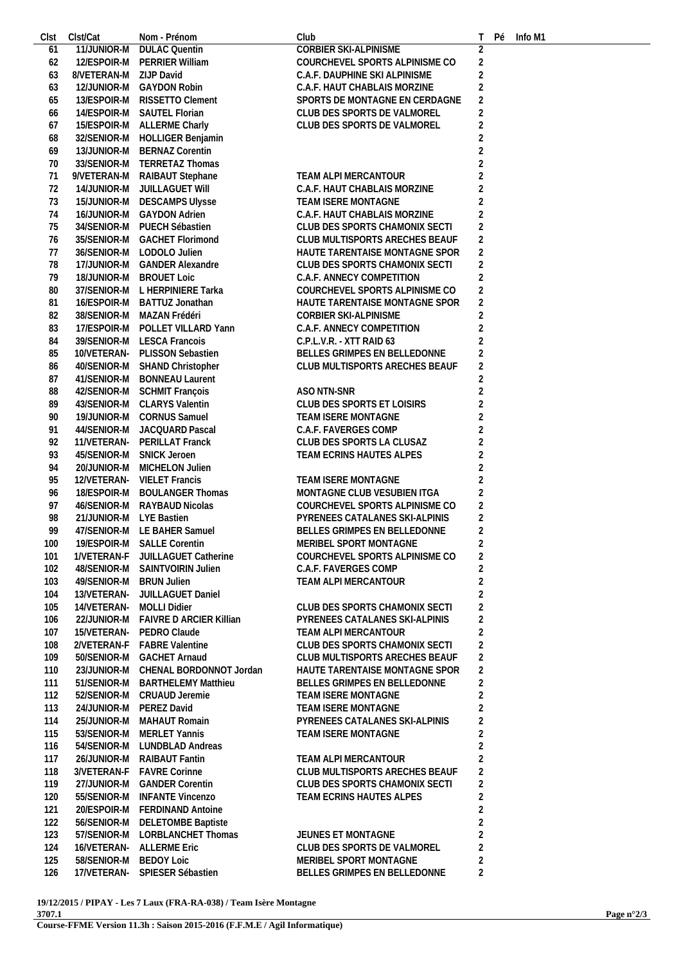| Clst | Clst/Cat                | Nom - Prénom                     | Club                           |                | Рé | Info M1 |  |  |
|------|-------------------------|----------------------------------|--------------------------------|----------------|----|---------|--|--|
| 61   | 11/JUNIOR-M             | <b>DULAC Quentin</b>             | CORBIER SKI-ALPINISME          | $\overline{2}$ |    |         |  |  |
| 62   | 12/ESPOIR-M             | PERRIER William                  | COURCHEVEL SPORTS ALPINISME CO | $\overline{2}$ |    |         |  |  |
| 63   | 8/VETERAN-M             | ZIJP David                       | C.A.F. DAUPHINE SKI ALPINISME  | $\overline{2}$ |    |         |  |  |
| 63   | 12/JUNIOR-M             | <b>GAYDON Robin</b>              | C.A.F. HAUT CHABLAIS MORZINE   | $\overline{2}$ |    |         |  |  |
| 65   | 13/ESPOIR-M             | RISSETTO Clement                 | SPORTS DE MONTAGNE EN CERDAGNE | $\overline{2}$ |    |         |  |  |
| 66   |                         | 14/ESPOIR-M SAUTEL Florian       | CLUB DES SPORTS DE VALMOREL    | $\overline{2}$ |    |         |  |  |
| 67   |                         | 15/ESPOIR-M ALLERME Charly       | CLUB DES SPORTS DE VALMOREL    | $\overline{2}$ |    |         |  |  |
|      |                         |                                  |                                |                |    |         |  |  |
| 68   | 32/SENIOR-M             | <b>HOLLIGER Benjamin</b>         |                                | $\overline{2}$ |    |         |  |  |
| 69   | 13/JUNIOR-M             | <b>BERNAZ Corentin</b>           |                                | $\overline{2}$ |    |         |  |  |
| 70   | 33/SENIOR-M             | <b>TERRETAZ Thomas</b>           |                                | $\overline{2}$ |    |         |  |  |
| 71   | 9/VETERAN-M             | RAIBAUT Stephane                 | TEAM ALPI MERCANTOUR           | $\overline{2}$ |    |         |  |  |
| 72   | 14/JUNIOR-M             | JUILLAGUET WIII                  | C.A.F. HAUT CHABLAIS MORZINE   | $\overline{2}$ |    |         |  |  |
| 73   |                         | 15/JUNIOR-M DESCAMPS Ulysse      | TEAM ISERE MONTAGNE            | $\overline{2}$ |    |         |  |  |
| 74   | 16/JUNIOR-M             | <b>GAYDON Adrien</b>             | C.A.F. HAUT CHABLAIS MORZINE   | $\overline{2}$ |    |         |  |  |
| 75   | 34/SENIOR-M             | PUECH Sébastien                  | CLUB DES SPORTS CHAMONIX SECTI | $\overline{2}$ |    |         |  |  |
| 76   | 35/SENIOR-M             | <b>GACHET Florimond</b>          | CLUB MULTISPORTS ARECHES BEAUF | $\overline{2}$ |    |         |  |  |
| 77   |                         | 36/SENIOR-M LODOLO Julien        | HAUTE TARENTAISE MONTAGNE SPOR | $\overline{2}$ |    |         |  |  |
| 78   |                         | 17/JUNIOR-M GANDER Alexandre     | CLUB DES SPORTS CHAMONIX SECTI | $\overline{2}$ |    |         |  |  |
| 79   | 18/JUNIOR-M             | <b>BROUET Loic</b>               | C.A.F. ANNECY COMPETITION      | $\overline{2}$ |    |         |  |  |
|      |                         |                                  | COURCHEVEL SPORTS ALPINISME CO |                |    |         |  |  |
| 80   | 37/SENIOR-M             | L HERPINIERE Tarka               |                                | $\sqrt{2}$     |    |         |  |  |
| 81   | 16/ESPOIR-M             | BATTUZ Jonathan                  | HAUTE TARENTAISE MONTAGNE SPOR | $\overline{2}$ |    |         |  |  |
| 82   | 38/SENIOR-M             | MAZAN Frédéri                    | CORBIER SKI-ALPINISME          | $\overline{2}$ |    |         |  |  |
| 83   | 17/ESPOIR-M             | POLLET VILLARD Yann              | C.A.F. ANNECY COMPETITION      | $\overline{2}$ |    |         |  |  |
| 84   | 39/SENIOR-M             | <b>LESCA Francois</b>            | C.P.L.V.R. - XTT RAID 63       | $\overline{c}$ |    |         |  |  |
| 85   | 10/VETERAN-             | PLISSON Sebastien                | BELLES GRIMPES EN BELLEDONNE   | $\overline{c}$ |    |         |  |  |
| 86   | 40/SENIOR-M             | SHAND Christopher                | CLUB MULTISPORTS ARECHES BEAUF | $\overline{2}$ |    |         |  |  |
| 87   | 41/SENIOR-M             | <b>BONNEAU Laurent</b>           |                                | $\overline{2}$ |    |         |  |  |
| 88   | 42/SENIOR-M             | <b>SCHMIT François</b>           | ASO NTN-SNR                    | $\overline{2}$ |    |         |  |  |
| 89   | 43/SENIOR-M             | <b>CLARYS Valentin</b>           | CLUB DES SPORTS ET LOISIRS     | $\overline{2}$ |    |         |  |  |
| 90   | 19/JUNIOR-M             | <b>CORNUS Samuel</b>             | TEAM ISERE MONTAGNE            | $\overline{c}$ |    |         |  |  |
| 91   | 44/SENIOR-M             | JACQUARD Pascal                  | C.A.F. FAVERGES COMP           | $\overline{c}$ |    |         |  |  |
|      |                         |                                  |                                |                |    |         |  |  |
| 92   | 11/VETERAN-             | PERILLAT Franck                  | CLUB DES SPORTS LA CLUSAZ      | $\overline{c}$ |    |         |  |  |
| 93   | 45/SENIOR-M             | <b>SNICK Jeroen</b>              | TEAM ECRINS HAUTES ALPES       | $\overline{2}$ |    |         |  |  |
| 94   | 20/JUNIOR-M             | MICHELON Julien                  |                                | $\overline{2}$ |    |         |  |  |
| 95   |                         | 12/VETERAN- VIELET Francis       | TEAM ISERE MONTAGNE            | $\overline{2}$ |    |         |  |  |
| 96   | 18/ESPOIR-M             | <b>BOULANGER Thomas</b>          | MONTAGNE CLUB VESUBIEN ITGA    | $\overline{2}$ |    |         |  |  |
| 97   | 46/SENIOR-M             | RAYBAUD Nicolas                  | COURCHEVEL SPORTS ALPINISME CO | $\overline{2}$ |    |         |  |  |
| 98   | 21/JUNIOR-M LYE Bastien |                                  | PYRENEES CATALANES SKI-ALPINIS | $\overline{2}$ |    |         |  |  |
| 99   |                         | 47/SENIOR-M LE BAHER Samuel      | BELLES GRIMPES EN BELLEDONNE   | $\overline{2}$ |    |         |  |  |
| 100  |                         | 19/ESPOIR-M SALLE Corentin       | MERIBEL SPORT MONTAGNE         |                |    |         |  |  |
| 101  |                         | 1/VETERAN-F JUILLAGUET Catherine | COURCHEVEL SPORTS ALPINISME CO | $\overline{2}$ |    |         |  |  |
| 102  | 48/SENIOR-M             | SAINTVOIRIN Julien               | C.A.F. FAVERGES COMP           | $\overline{2}$ |    |         |  |  |
| 103  | 49/SENIOR-M             | <b>BRUN Julien</b>               | TEAM ALPI MERCANTOUR           | $\overline{2}$ |    |         |  |  |
|      |                         |                                  |                                |                |    |         |  |  |
| 104  | 13/VETERAN-             | JUILLAGUET Daniel                |                                | $\overline{2}$ |    |         |  |  |
| 105  | 14/VETERAN-             | <b>MOLLI Didier</b>              | CLUB DES SPORTS CHAMONIX SECTI | $\overline{2}$ |    |         |  |  |
| 106  | 22/JUNIOR-M             | <b>FAIVRE D ARCIER Killian</b>   | PYRENEES CATALANES SKI-ALPINIS | $\overline{c}$ |    |         |  |  |
| 107  | 15/VETERAN-             | PEDRO Claude                     | TEAM ALPI MERCANTOUR           | $\overline{2}$ |    |         |  |  |
| 108  | 2/VETERAN-F             | <b>FABRE Valentine</b>           | CLUB DES SPORTS CHAMONIX SECTI | $\overline{c}$ |    |         |  |  |
| 109  | 50/SENIOR-M             | <b>GACHET Arnaud</b>             | CLUB MULTISPORTS ARECHES BEAUF | $\overline{2}$ |    |         |  |  |
| 110  | 23/JUNIOR-M             | CHENAL BORDONNOT Jordan          | HAUTE TARENTAISE MONTAGNE SPOR | $\overline{2}$ |    |         |  |  |
| 111  | 51/SENIOR-M             | <b>BARTHELEMY Matthieu</b>       | BELLES GRIMPES EN BELLEDONNE   | $\overline{2}$ |    |         |  |  |
| 112  | 52/SENIOR-M             | <b>CRUAUD Jeremie</b>            | <b>TEAM ISERE MONTAGNE</b>     | $\overline{2}$ |    |         |  |  |
| 113  | 24/JUNIOR-M             | PEREZ David                      | TEAM ISERE MONTAGNE            | $\overline{c}$ |    |         |  |  |
| 114  | 25/JUNIOR-M             | MAHAUT Romain                    | PYRENEES CATALANES SKI-ALPINIS | $\overline{2}$ |    |         |  |  |
|      |                         |                                  |                                |                |    |         |  |  |
| 115  | 53/SENIOR-M             | <b>MERLET Yannis</b>             | TEAM ISERE MONTAGNE            | $\overline{2}$ |    |         |  |  |
| 116  | 54/SENIOR-M             | LUNDBLAD Andreas                 |                                | $\overline{2}$ |    |         |  |  |
| 117  | 26/JUNIOR-M             | RAIBAUT Fantin                   | TEAM ALPI MERCANTOUR           | $\overline{2}$ |    |         |  |  |
| 118  | 3/VETERAN-F             | <b>FAVRE Corinne</b>             | CLUB MULTISPORTS ARECHES BEAUF | $\overline{2}$ |    |         |  |  |
| 119  | 27/JUNIOR-M             | <b>GANDER Corentin</b>           | CLUB DES SPORTS CHAMONIX SECTI | $\overline{2}$ |    |         |  |  |
| 120  | 55/SENIOR-M             | <b>INFANTE Vincenzo</b>          | TEAM ECRINS HAUTES ALPES       | $\overline{c}$ |    |         |  |  |
| 121  | 20/ESPOIR-M             | FERDINAND Antoine                |                                | $\overline{2}$ |    |         |  |  |
| 122  | 56/SENIOR-M             | <b>DELETOMBE Baptiste</b>        |                                | $\overline{2}$ |    |         |  |  |
| 123  | 57/SENIOR-M             | LORBLANCHET Thomas               | JEUNES ET MONTAGNE             | $\overline{2}$ |    |         |  |  |
| 124  | 16/VETERAN-             | <b>ALLERME Eric</b>              | CLUB DES SPORTS DE VALMOREL    | $\overline{2}$ |    |         |  |  |
| 125  | 58/SENIOR-M             | <b>BEDOY Loic</b>                | MERIBEL SPORT MONTAGNE         | $\overline{2}$ |    |         |  |  |
|      |                         |                                  |                                |                |    |         |  |  |
| 126  | 17/VETERAN-             | SPIESER Sébastien                | BELLES GRIMPES EN BELLEDONNE   | $\overline{2}$ |    |         |  |  |

**19/12/2015 / PIPAY - Les 7 Laux (FRA-RA-038) / Team Isère Montagne 3707.1**